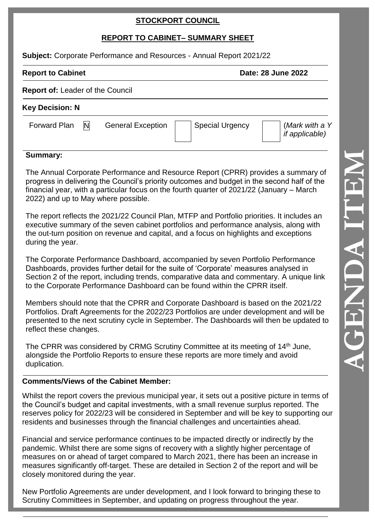## **STOCKPORT COUNCIL**

# **REPORT TO CABINET – SUMMARY SHEET**

Subject: Corporate Performance and Resources - Annual Report 2021/22

#### **Report to Cabinet**

Date: 28 June 2022

|  | <b>Report of: Leader of the Council</b> |
|--|-----------------------------------------|
|--|-----------------------------------------|

### **Key Decision: N**

Forward Plan

 $\mathbb{N}$  General Exception | Special Urgency

(*Mark with a Y if applicable)*

## **Summary:**

The Annual Corporate Performance and Resource Report (CPRR) provides a summary of progress in delivering the Council's priority outcomes and budget in the second half of the financial year, with a particular focus on the fourth quarter of 2021/22 (January – March 2022) and up to May where possible.

The report reflects the 2021/22 Council Plan, MTFP and Portfolio priorities. It includes an executive summary of the seven cabinet portfolios and performance analysis, along with the out -turn position on revenue and capital, and a focus on highlights and exceptions during the year.

The Corporate Performance Dashboard, accompanied by seven Portfolio Performance Dashboards, provides further detail for the suite of 'Corporate' measures analysed in Section 2 of the report, including trends, comparative data and commentary. A unique link to the Corporate Performance Dashboard can be found within the CPRR itself.

Members should note that the CPRR and Corporate Dashboard is based on the 2021/22 Portfolios. Draft Agreements for the 2022/23 Portfolios are under development and will be presented to the next scrutiny cycle in September. The Dashboards will then be updated to reflect these changes.

The CPRR was considered by CRMG Scrutiny Committee at its meeting of 14th June, alongside the Portfolio Reports to ensure these reports are more timely and avoid duplication.

#### **Comments/Views of the Cabinet Member:**

Whilst the report covers the previous municipal year, it sets out a positive picture in terms of the Council's budget and capital investments, with a small revenue surplus reported. The reserves policy for 2022/23 will be considered in September and will be key to supporting our residents and businesses through the financial challenges and uncertainties ahead.

Financial and service performance continues to be impacted directly or indirectly by the pandemic. Whilst there are some signs of recovery with a slightly higher percentage of measures on or ahead of target compared to March 2021, there has been an increase in measures significantly off-target. These are detailed in Section 2 of the report and will be closely monitored during the year.

New Portfolio Agreements are under development, and I look forward to bringing these to Scrutiny Committees in September, and updating on progress throughout the year.